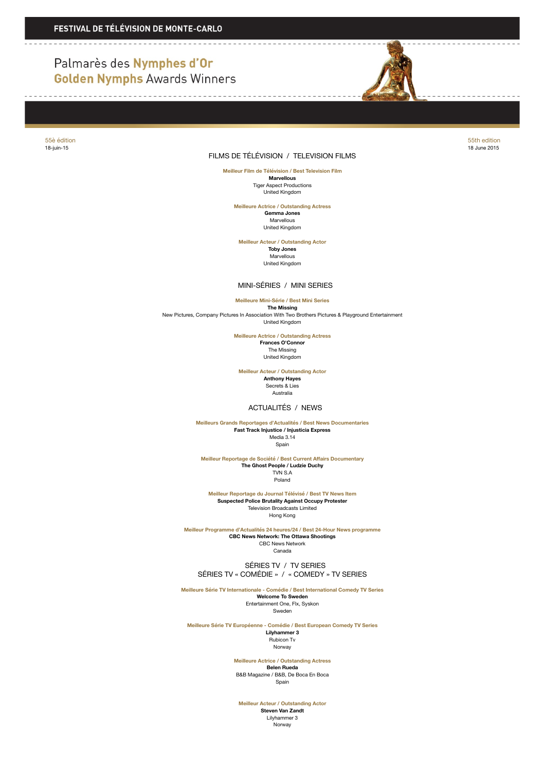# Palmarès des Nymphes d'Or **Golden Nymphs Awards Winners**



### FILMS DE TÉLÉVISION / TELEVISION FILMS

55è édition 55th edition 18-juin-15 18 June 2015

> **Meilleur Film de Télévision / Best Television Film Marvellous** Tiger Aspect Productions United Kingdom

**Meilleure Actrice / Outstanding Actress**

**Gemma Jones** Marvellous United Kingdom

**Meilleur Acteur / Outstanding Actor Toby Jones** Marvellous United Kingdom

MINI-SÉRIES / MINI SERIES

**Meilleure Mini-Série / Best Mini Series**

**The Missing<br>New Pictures, Company Pictures In Association With Two Brothers Pictures & Playground Entertainment** United Kingdom

> **Meilleure Actrice / Outstanding Actress Frances O'Connor** The Missing

United Kingdom

**Meilleur Acteur / Outstanding Actor Anthony Hayes**

Secrets & Lies Australia

### ACTUALITÉS / NEWS

**Meilleurs Grands Reportages d'Actualités / Best News Documentaries Fast Track Injustice / Injusticia Express** Media 3.14

Spain

**Meilleur Reportage de Société / Best Current Affairs Documentary The Ghost People / Ludzie Duchy**

TVN S.A Poland

**Meilleur Reportage du Journal Télévisé / Best TV News Item Suspected Police Brutality Against Occupy Protester** Television Broadcasts Limited Hong Kong

**Meilleur Programme d'Actualités 24 heures/24 / Best 24-Hour News programme CBC News Network: The Ottawa Shootings** CBC News Network Canada

 SÉRIES TV / TV SERIES SÉRIES TV « COMÉDIE » / « COMEDY » TV SERIES

**Meilleure Série TV Internationale - Comédie / Best International Comedy TV Series Welcome To Sweden**

Entertainment One, Flx, Syskon Sweden

**Meilleure Série TV Européenne - Comédie / Best European Comedy TV Series Lilyhammer 3** Rubicon Tv Norway

> **Meilleure Actrice / Outstanding Actress Belen Rueda** B&B Magazine / B&B, De Boca En Boca Spain

**Meilleur Acteur / Outstanding Actor**

**Steven Van Zandt** Lilyhammer 3 .<br>Norway